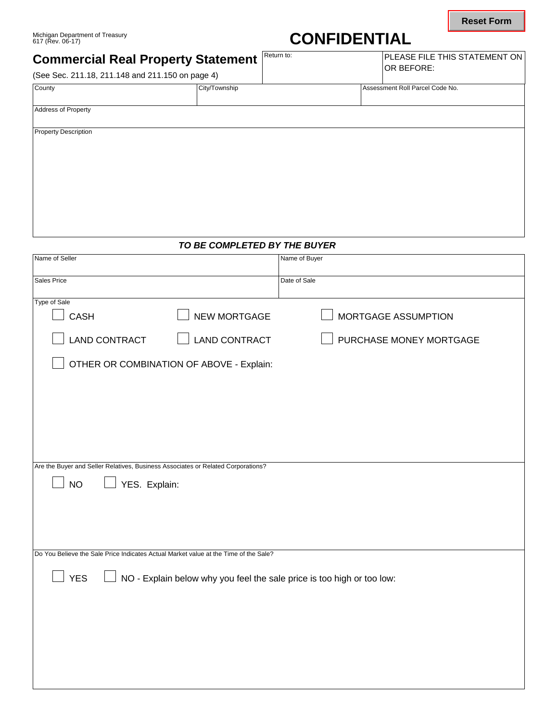# **CONFIDENTIAL**

| Michigan Department of Treasury<br>617 (Rev. 06-17) |                                        |            | <b>CONFIDENTIAL</b> |                                                        |
|-----------------------------------------------------|----------------------------------------|------------|---------------------|--------------------------------------------------------|
| <b>Commercial Real Property Statement</b>           |                                        | Return to: |                     | <b>IPLEASE FILE THIS STATEMENT ON I</b><br>IOR BEFORE: |
| (See Sec. 211.18, 211.148 and 211.150 on page 4)    |                                        |            |                     |                                                        |
| $C_{\text{a},\text{m}}$                             | C <sub>th</sub> /T <sub>OM</sub> ophin |            |                     | Accordant Poll Dereol Cade No.                         |

| (See Sec. 211.18, 211.148 and 211.150 on page 4) |               | UR DEFURE.                      |
|--------------------------------------------------|---------------|---------------------------------|
| County                                           | City/Township | Assessment Roll Parcel Code No. |
| <b>Address of Property</b>                       |               |                                 |
| <b>Property Description</b>                      |               |                                 |
|                                                  |               |                                 |
|                                                  |               |                                 |
|                                                  |               |                                 |
|                                                  |               |                                 |

## *TO BE COMPLETED BY THE BUYER*

| Name of Seller                                                                       |                                          | Name of Buyer              |  |
|--------------------------------------------------------------------------------------|------------------------------------------|----------------------------|--|
| Sales Price                                                                          |                                          | Date of Sale               |  |
| Type of Sale                                                                         |                                          |                            |  |
| <b>CASH</b>                                                                          | <b>NEW MORTGAGE</b>                      | <b>MORTGAGE ASSUMPTION</b> |  |
| <b>LAND CONTRACT</b>                                                                 | <b>LAND CONTRACT</b>                     | PURCHASE MONEY MORTGAGE    |  |
|                                                                                      | OTHER OR COMBINATION OF ABOVE - Explain: |                            |  |
|                                                                                      |                                          |                            |  |
|                                                                                      |                                          |                            |  |
|                                                                                      |                                          |                            |  |
|                                                                                      |                                          |                            |  |
| Are the Buyer and Seller Relatives, Business Associates or Related Corporations?     |                                          |                            |  |
| YES. Explain:<br><b>NO</b>                                                           |                                          |                            |  |
|                                                                                      |                                          |                            |  |
|                                                                                      |                                          |                            |  |
|                                                                                      |                                          |                            |  |
| Do You Believe the Sale Price Indicates Actual Market value at the Time of the Sale? |                                          |                            |  |
| <b>YES</b><br>NO - Explain below why you feel the sale price is too high or too low: |                                          |                            |  |
|                                                                                      |                                          |                            |  |
|                                                                                      |                                          |                            |  |
|                                                                                      |                                          |                            |  |
|                                                                                      |                                          |                            |  |
|                                                                                      |                                          |                            |  |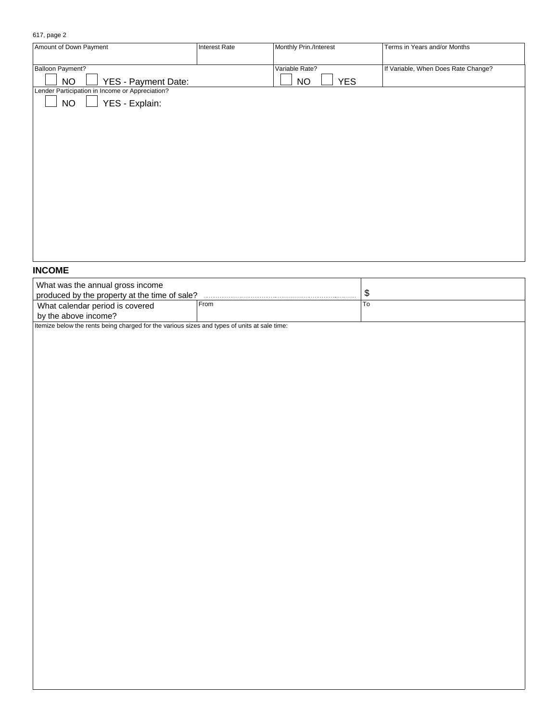#### 617, page 2

| Amount of Down Payment                                  | <b>Interest Rate</b> | Monthly Prin./Interest  | Terms in Years and/or Months        |
|---------------------------------------------------------|----------------------|-------------------------|-------------------------------------|
|                                                         |                      |                         |                                     |
| <b>Balloon Payment?</b>                                 |                      | Variable Rate?          | If Variable, When Does Rate Change? |
| <b>NO</b><br><b>YES - Payment Date:</b>                 |                      | <b>YES</b><br><b>NO</b> |                                     |
| Lender Participation in Income or Appreciation?         |                      |                         |                                     |
| YES - Explain:<br><b>NO</b><br>$\overline{\phantom{0}}$ |                      |                         |                                     |
|                                                         |                      |                         |                                     |
|                                                         |                      |                         |                                     |
|                                                         |                      |                         |                                     |
|                                                         |                      |                         |                                     |
|                                                         |                      |                         |                                     |
|                                                         |                      |                         |                                     |
|                                                         |                      |                         |                                     |
|                                                         |                      |                         |                                     |
|                                                         |                      |                         |                                     |
|                                                         |                      |                         |                                     |
|                                                         |                      |                         |                                     |
|                                                         |                      |                         |                                     |
|                                                         |                      |                         |                                     |
|                                                         |                      |                         |                                     |
|                                                         |                      |                         |                                     |

## **INCOME**

| What was the annual gross income<br>produced by the property at the time of sale?            |      |     |  |  |
|----------------------------------------------------------------------------------------------|------|-----|--|--|
| What calendar period is covered<br>by the above income?                                      | From | -10 |  |  |
| Itemize below the rents being charged for the various sizes and types of units at sale time: |      |     |  |  |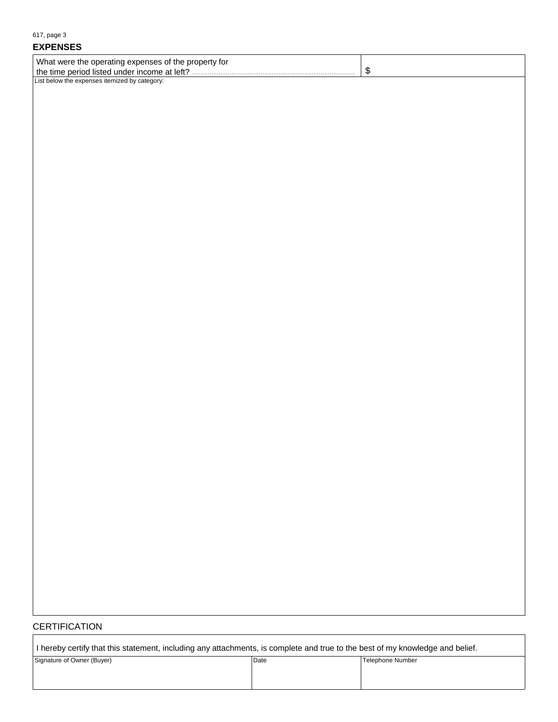| 617, page 3                                          |                   |  |
|------------------------------------------------------|-------------------|--|
| <b>EXPENSES</b>                                      |                   |  |
| What were the operating expenses of the property for |                   |  |
|                                                      | $\boldsymbol{\$}$ |  |
|                                                      |                   |  |
|                                                      |                   |  |
|                                                      |                   |  |
|                                                      |                   |  |
|                                                      |                   |  |
|                                                      |                   |  |
|                                                      |                   |  |
|                                                      |                   |  |
|                                                      |                   |  |
|                                                      |                   |  |
|                                                      |                   |  |
|                                                      |                   |  |
|                                                      |                   |  |
|                                                      |                   |  |
|                                                      |                   |  |
|                                                      |                   |  |
|                                                      |                   |  |
|                                                      |                   |  |
|                                                      |                   |  |
|                                                      |                   |  |
|                                                      |                   |  |
|                                                      |                   |  |
|                                                      |                   |  |
|                                                      |                   |  |
|                                                      |                   |  |
|                                                      |                   |  |
|                                                      |                   |  |
|                                                      |                   |  |
|                                                      |                   |  |
|                                                      |                   |  |
|                                                      |                   |  |
|                                                      |                   |  |
|                                                      |                   |  |
|                                                      |                   |  |
|                                                      |                   |  |
|                                                      |                   |  |
|                                                      |                   |  |
|                                                      |                   |  |
|                                                      |                   |  |
|                                                      |                   |  |
|                                                      |                   |  |

## **CERTIFICATION**

 $\Gamma$ 

| I hereby certify that this statement, including any attachments, is complete and true to the best of my knowledge and belief. |      |                  |  |
|-------------------------------------------------------------------------------------------------------------------------------|------|------------------|--|
| Signature of Owner (Buyer)                                                                                                    | Date | Telephone Number |  |
|                                                                                                                               |      |                  |  |
|                                                                                                                               |      |                  |  |